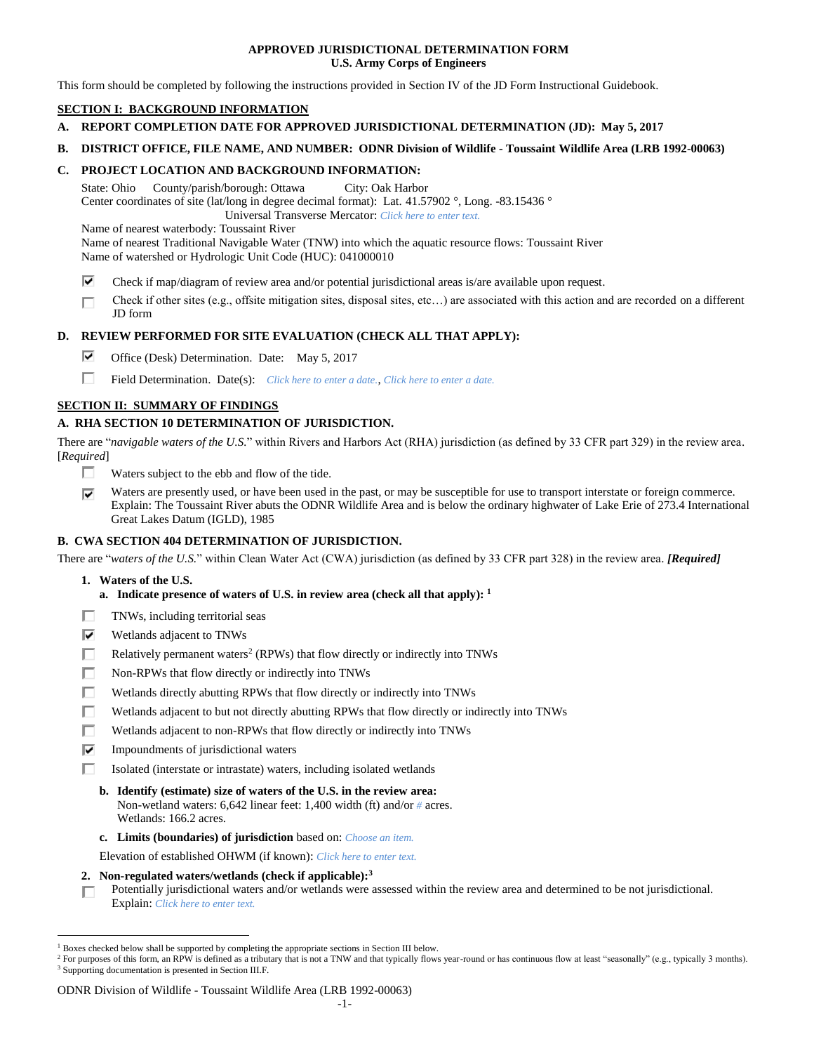## **APPROVED JURISDICTIONAL DETERMINATION FORM U.S. Army Corps of Engineers**

This form should be completed by following the instructions provided in Section IV of the JD Form Instructional Guidebook.

# **SECTION I: BACKGROUND INFORMATION**

- **A. REPORT COMPLETION DATE FOR APPROVED JURISDICTIONAL DETERMINATION (JD): May 5, 2017**
- **B. DISTRICT OFFICE, FILE NAME, AND NUMBER: ODNR Division of Wildlife - Toussaint Wildlife Area (LRB 1992-00063)**

## **C. PROJECT LOCATION AND BACKGROUND INFORMATION:**

State: Ohio County/parish/borough: Ottawa City: Oak Harbor Center coordinates of site (lat/long in degree decimal format): Lat. 41.57902 °, Long. -83.15436 °

Universal Transverse Mercator: *Click here to enter text.*

Name of nearest waterbody: Toussaint River

Name of nearest Traditional Navigable Water (TNW) into which the aquatic resource flows: Toussaint River Name of watershed or Hydrologic Unit Code (HUC): 041000010

- ⊽ Check if map/diagram of review area and/or potential jurisdictional areas is/are available upon request.
- Check if other sites (e.g., offsite mitigation sites, disposal sites, etc…) are associated with this action and are recorded on a different п JD form

## **D. REVIEW PERFORMED FOR SITE EVALUATION (CHECK ALL THAT APPLY):**

- ⊽ Office (Desk) Determination. Date: May 5, 2017
- п Field Determination. Date(s): *Click here to enter a date.*, *Click here to enter a date.*

## **SECTION II: SUMMARY OF FINDINGS**

# **A. RHA SECTION 10 DETERMINATION OF JURISDICTION.**

There are "*navigable waters of the U.S.*" within Rivers and Harbors Act (RHA) jurisdiction (as defined by 33 CFR part 329) in the review area. [*Required*]

- П. Waters subject to the ebb and flow of the tide.
- ⊽ Waters are presently used, or have been used in the past, or may be susceptible for use to transport interstate or foreign commerce. Explain: The Toussaint River abuts the ODNR Wildlife Area and is below the ordinary highwater of Lake Erie of 273.4 International Great Lakes Datum (IGLD), 1985

## **B. CWA SECTION 404 DETERMINATION OF JURISDICTION.**

There are "*waters of the U.S.*" within Clean Water Act (CWA) jurisdiction (as defined by 33 CFR part 328) in the review area. *[Required]*

**1. Waters of the U.S.**

 $\overline{a}$ 

- **a. Indicate presence of waters of U.S. in review area (check all that apply): 1**
- п TNWs, including territorial seas
- ⊽ Wetlands adjacent to TNWs
- п. Relatively permanent waters<sup>2</sup> (RPWs) that flow directly or indirectly into TNWs
- п Non-RPWs that flow directly or indirectly into TNWs
- Wetlands directly abutting RPWs that flow directly or indirectly into TNWs п
- п Wetlands adjacent to but not directly abutting RPWs that flow directly or indirectly into TNWs
- п Wetlands adjacent to non-RPWs that flow directly or indirectly into TNWs
- ⊽ Impoundments of jurisdictional waters
- Isolated (interstate or intrastate) waters, including isolated wetlands п.
	- **b. Identify (estimate) size of waters of the U.S. in the review area:** Non-wetland waters: 6,642 linear feet: 1,400 width (ft) and/or *#* acres. Wetlands: 166.2 acres.
	- **c. Limits (boundaries) of jurisdiction** based on: *Choose an item.*

Elevation of established OHWM (if known): *Click here to enter text.*

**2. Non-regulated waters/wetlands (check if applicable): 3**

Potentially jurisdictional waters and/or wetlands were assessed within the review area and determined to be not jurisdictional. П. Explain: *Click here to enter text.*

#### ODNR Division of Wildlife - Toussaint Wildlife Area (LRB 1992-00063)

<sup>1</sup> Boxes checked below shall be supported by completing the appropriate sections in Section III below.

<sup>&</sup>lt;sup>2</sup> For purposes of this form, an RPW is defined as a tributary that is not a TNW and that typically flows year-round or has continuous flow at least "seasonally" (e.g., typically 3 months). <sup>3</sup> Supporting documentation is presented in Section III.F.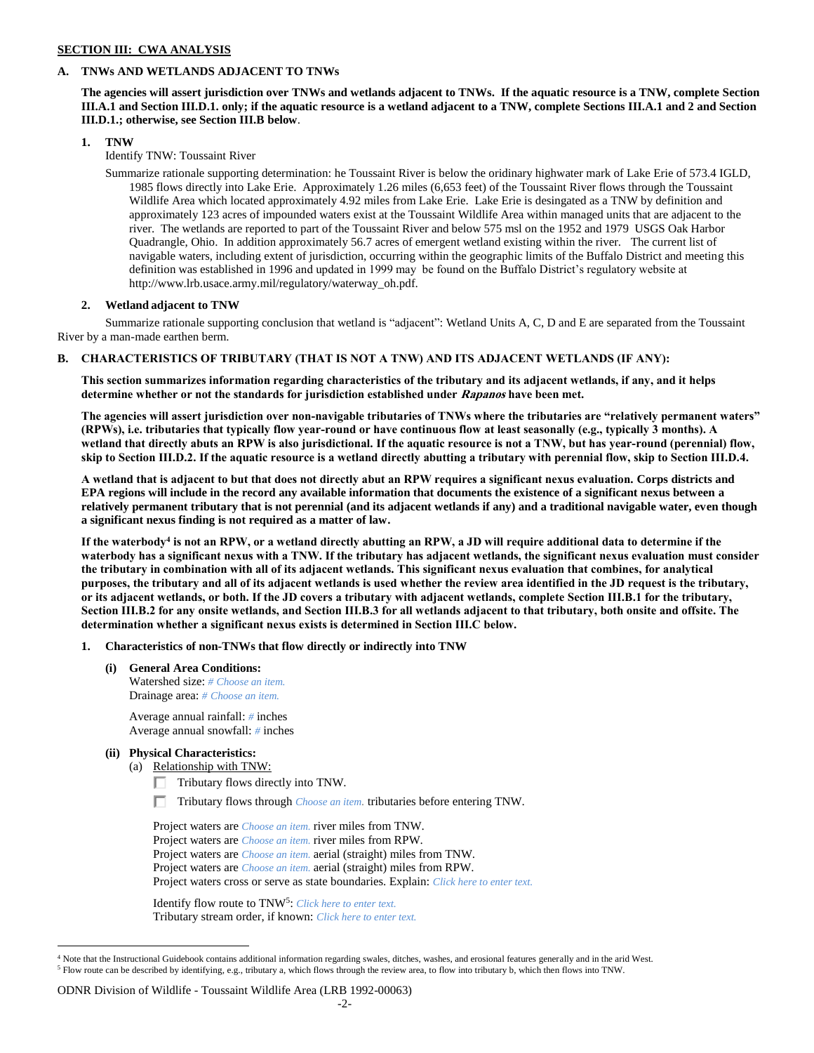## **SECTION III: CWA ANALYSIS**

## **A. TNWs AND WETLANDS ADJACENT TO TNWs**

**The agencies will assert jurisdiction over TNWs and wetlands adjacent to TNWs. If the aquatic resource is a TNW, complete Section III.A.1 and Section III.D.1. only; if the aquatic resource is a wetland adjacent to a TNW, complete Sections III.A.1 and 2 and Section III.D.1.; otherwise, see Section III.B below**.

## **1. TNW**

Identify TNW: Toussaint River

Summarize rationale supporting determination: he Toussaint River is below the oridinary highwater mark of Lake Erie of 573.4 IGLD, 1985 flows directly into Lake Erie. Approximately 1.26 miles (6,653 feet) of the Toussaint River flows through the Toussaint Wildlife Area which located approximately 4.92 miles from Lake Erie. Lake Erie is desingated as a TNW by definition and approximately 123 acres of impounded waters exist at the Toussaint Wildlife Area within managed units that are adjacent to the river. The wetlands are reported to part of the Toussaint River and below 575 msl on the 1952 and 1979 USGS Oak Harbor Quadrangle, Ohio. In addition approximately 56.7 acres of emergent wetland existing within the river. The current list of navigable waters, including extent of jurisdiction, occurring within the geographic limits of the Buffalo District and meeting this definition was established in 1996 and updated in 1999 may be found on the Buffalo District's regulatory website at http://www.lrb.usace.army.mil/regulatory/waterway\_oh.pdf.

## **2. Wetland adjacent to TNW**

Summarize rationale supporting conclusion that wetland is "adjacent": Wetland Units A, C, D and E are separated from the Toussaint River by a man-made earthen berm.

## **B. CHARACTERISTICS OF TRIBUTARY (THAT IS NOT A TNW) AND ITS ADJACENT WETLANDS (IF ANY):**

**This section summarizes information regarding characteristics of the tributary and its adjacent wetlands, if any, and it helps determine whether or not the standards for jurisdiction established under Rapanos have been met.** 

**The agencies will assert jurisdiction over non-navigable tributaries of TNWs where the tributaries are "relatively permanent waters" (RPWs), i.e. tributaries that typically flow year-round or have continuous flow at least seasonally (e.g., typically 3 months). A wetland that directly abuts an RPW is also jurisdictional. If the aquatic resource is not a TNW, but has year-round (perennial) flow, skip to Section III.D.2. If the aquatic resource is a wetland directly abutting a tributary with perennial flow, skip to Section III.D.4.**

**A wetland that is adjacent to but that does not directly abut an RPW requires a significant nexus evaluation. Corps districts and EPA regions will include in the record any available information that documents the existence of a significant nexus between a relatively permanent tributary that is not perennial (and its adjacent wetlands if any) and a traditional navigable water, even though a significant nexus finding is not required as a matter of law.**

**If the waterbody<sup>4</sup> is not an RPW, or a wetland directly abutting an RPW, a JD will require additional data to determine if the waterbody has a significant nexus with a TNW. If the tributary has adjacent wetlands, the significant nexus evaluation must consider the tributary in combination with all of its adjacent wetlands. This significant nexus evaluation that combines, for analytical purposes, the tributary and all of its adjacent wetlands is used whether the review area identified in the JD request is the tributary, or its adjacent wetlands, or both. If the JD covers a tributary with adjacent wetlands, complete Section III.B.1 for the tributary, Section III.B.2 for any onsite wetlands, and Section III.B.3 for all wetlands adjacent to that tributary, both onsite and offsite. The determination whether a significant nexus exists is determined in Section III.C below.**

## **1. Characteristics of non-TNWs that flow directly or indirectly into TNW**

**(i) General Area Conditions:** Watershed size: *# Choose an item.* Drainage area: *# Choose an item.*

> Average annual rainfall: *#* inches Average annual snowfall: *#* inches

## **(ii) Physical Characteristics:**

 $\overline{a}$ 

- (a) Relationship with TNW:
	- Tributary flows directly into TNW.
	- Tributary flows through *Choose an item.* tributaries before entering TNW.

Project waters are *Choose an item.* river miles from TNW. Project waters are *Choose an item.* river miles from RPW. Project waters are *Choose an item.* aerial (straight) miles from TNW. Project waters are *Choose an item.* aerial (straight) miles from RPW. Project waters cross or serve as state boundaries. Explain: *Click here to enter text.*

Identify flow route to TNW<sup>5</sup>: *Click here to enter text.* Tributary stream order, if known: *Click here to enter text.*

## ODNR Division of Wildlife - Toussaint Wildlife Area (LRB 1992-00063)

<sup>&</sup>lt;sup>4</sup> Note that the Instructional Guidebook contains additional information regarding swales, ditches, washes, and erosional features generally and in the arid West. <sup>5</sup> Flow route can be described by identifying, e.g., tributary a, which flows through the review area, to flow into tributary b, which then flows into TNW.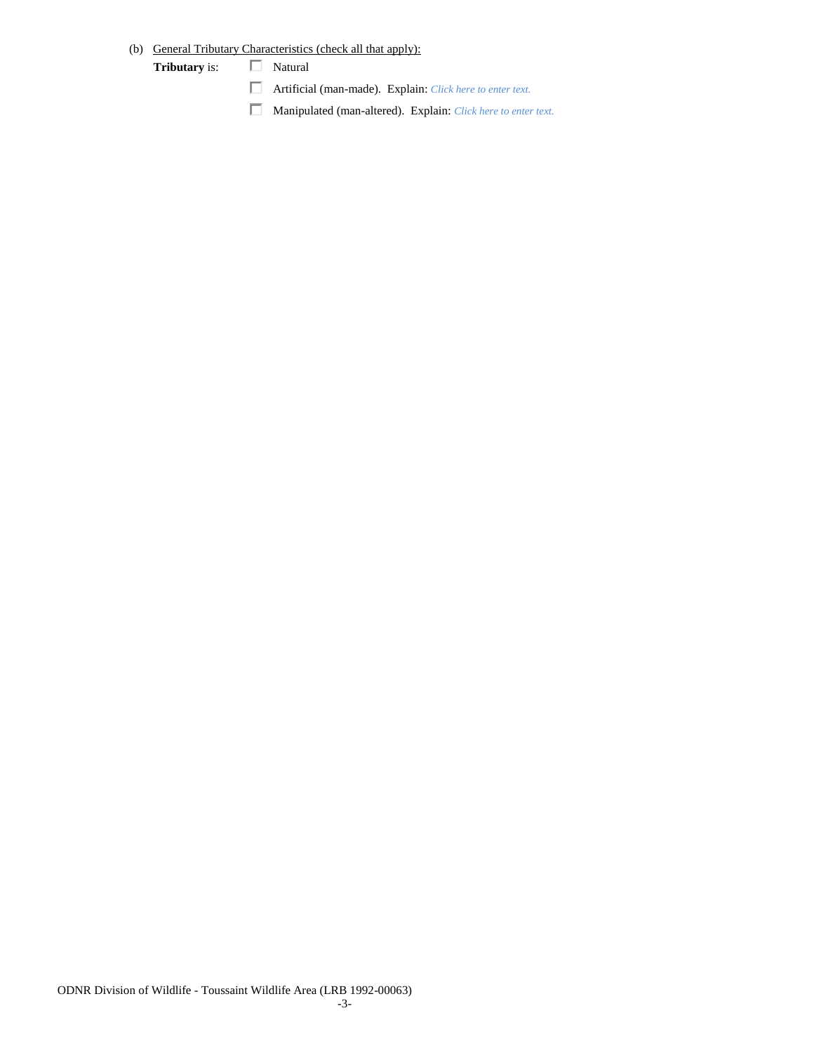# (b) General Tributary Characteristics (check all that apply):

**Tributary** is:  $\Box$  Natural

- Artificial (man-made). Explain: *Click here to enter text.*
- Manipulated (man-altered). Explain: *Click here to enter text.*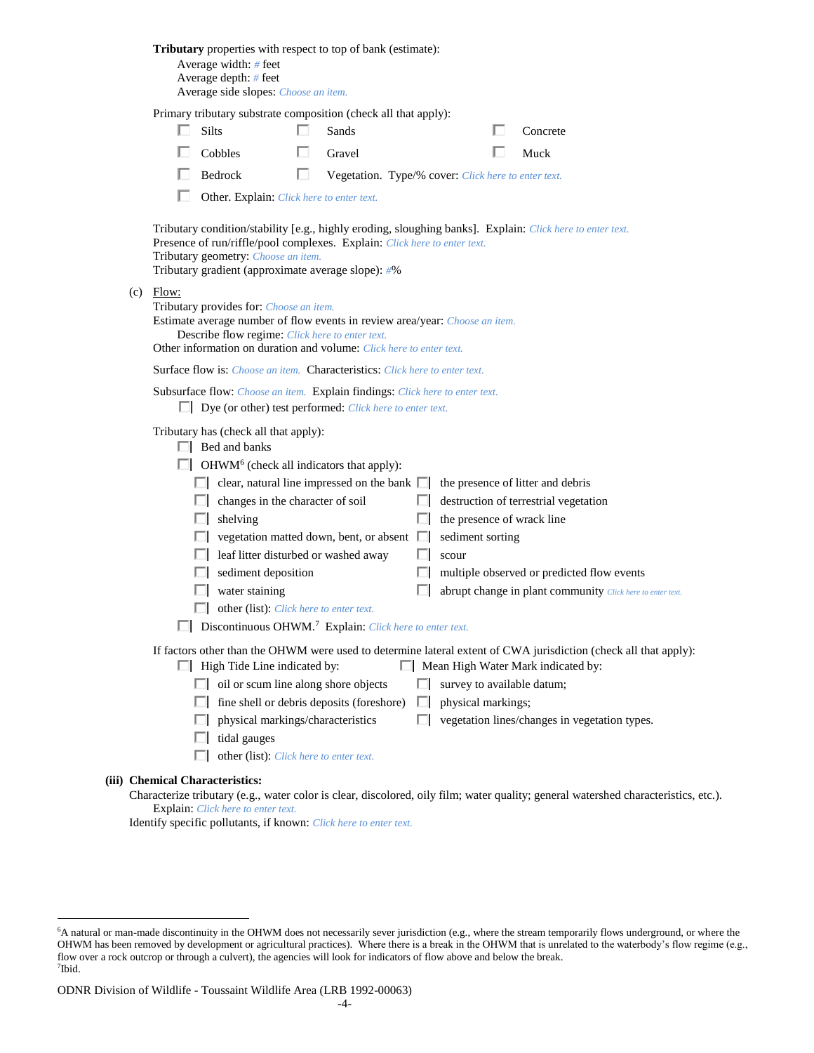|                                                                                                                                                                                               | <b>Tributary</b> properties with respect to top of bank (estimate):<br>Average width: # feet<br>Average depth: # feet<br>Average side slopes: Choose an item.                                                                                    |    |                                                     |     |                            |  |                                                                                                                                   |  |  |  |  |
|-----------------------------------------------------------------------------------------------------------------------------------------------------------------------------------------------|--------------------------------------------------------------------------------------------------------------------------------------------------------------------------------------------------------------------------------------------------|----|-----------------------------------------------------|-----|----------------------------|--|-----------------------------------------------------------------------------------------------------------------------------------|--|--|--|--|
|                                                                                                                                                                                               | Primary tributary substrate composition (check all that apply):                                                                                                                                                                                  |    |                                                     |     |                            |  |                                                                                                                                   |  |  |  |  |
|                                                                                                                                                                                               | <b>Silts</b>                                                                                                                                                                                                                                     | n. | Sands                                               |     |                            |  | Concrete                                                                                                                          |  |  |  |  |
|                                                                                                                                                                                               | Cobbles                                                                                                                                                                                                                                          |    | Gravel                                              |     |                            |  | Muck                                                                                                                              |  |  |  |  |
|                                                                                                                                                                                               | Bedrock                                                                                                                                                                                                                                          | U  | Vegetation. Type/% cover: Click here to enter text. |     |                            |  |                                                                                                                                   |  |  |  |  |
|                                                                                                                                                                                               | Other. Explain: Click here to enter text.                                                                                                                                                                                                        |    |                                                     |     |                            |  |                                                                                                                                   |  |  |  |  |
|                                                                                                                                                                                               | Presence of run/riffle/pool complexes. Explain: Click here to enter text.<br>Tributary geometry: Choose an item.<br>Tributary gradient (approximate average slope): #%                                                                           |    |                                                     |     |                            |  | Tributary condition/stability [e.g., highly eroding, sloughing banks]. Explain: Click here to enter text.                         |  |  |  |  |
| $(c)$ Flow:                                                                                                                                                                                   | Tributary provides for: Choose an item.<br>Estimate average number of flow events in review area/year: Choose an item.<br>Describe flow regime: Click here to enter text.<br>Other information on duration and volume: Click here to enter text. |    |                                                     |     |                            |  |                                                                                                                                   |  |  |  |  |
|                                                                                                                                                                                               | <b>Surface flow is:</b> <i>Choose an item.</i> <b>Characteristics:</b> <i>Click here to enter text.</i>                                                                                                                                          |    |                                                     |     |                            |  |                                                                                                                                   |  |  |  |  |
|                                                                                                                                                                                               | Subsurface flow: Choose an item. Explain findings: Click here to enter text.<br>$\Box$ Dye (or other) test performed: <i>Click here to enter text.</i>                                                                                           |    |                                                     |     |                            |  |                                                                                                                                   |  |  |  |  |
| Tributary has (check all that apply):<br>$\Box$ Bed and banks                                                                                                                                 |                                                                                                                                                                                                                                                  |    |                                                     |     |                            |  |                                                                                                                                   |  |  |  |  |
|                                                                                                                                                                                               | $\Box$ OHWM <sup>6</sup> (check all indicators that apply):                                                                                                                                                                                      |    |                                                     |     |                            |  |                                                                                                                                   |  |  |  |  |
|                                                                                                                                                                                               | $\Box$ clear, natural line impressed on the bank $\Box$ the presence of litter and debris                                                                                                                                                        |    |                                                     |     |                            |  |                                                                                                                                   |  |  |  |  |
|                                                                                                                                                                                               | $\Box$ changes in the character of soil<br>$\Box$ shelving                                                                                                                                                                                       |    |                                                     | ш   | the presence of wrack line |  | destruction of terrestrial vegetation                                                                                             |  |  |  |  |
|                                                                                                                                                                                               | $\Box$ vegetation matted down, bent, or absent $\Box$                                                                                                                                                                                            |    |                                                     |     | sediment sorting           |  |                                                                                                                                   |  |  |  |  |
|                                                                                                                                                                                               | leaf litter disturbed or washed away                                                                                                                                                                                                             |    |                                                     | ш   | scour                      |  |                                                                                                                                   |  |  |  |  |
|                                                                                                                                                                                               | $\Box$ sediment deposition                                                                                                                                                                                                                       |    |                                                     |     |                            |  | multiple observed or predicted flow events                                                                                        |  |  |  |  |
|                                                                                                                                                                                               | $\Box$ water staining                                                                                                                                                                                                                            |    |                                                     |     |                            |  | abrupt change in plant community Click here to enter text.                                                                        |  |  |  |  |
|                                                                                                                                                                                               | other (list): <i>Click here to enter text.</i>                                                                                                                                                                                                   |    |                                                     |     |                            |  |                                                                                                                                   |  |  |  |  |
| Discontinuous OHWM. <sup>7</sup> Explain: Click here to enter text.                                                                                                                           |                                                                                                                                                                                                                                                  |    |                                                     |     |                            |  |                                                                                                                                   |  |  |  |  |
| If factors other than the OHWM were used to determine lateral extent of CWA jurisdiction (check all that apply):<br>Mean High Water Mark indicated by:<br>$\Box$ High Tide Line indicated by: |                                                                                                                                                                                                                                                  |    |                                                     |     |                            |  |                                                                                                                                   |  |  |  |  |
|                                                                                                                                                                                               | $\Box$ oil or scum line along shore objects                                                                                                                                                                                                      |    |                                                     | L.  | survey to available datum; |  |                                                                                                                                   |  |  |  |  |
|                                                                                                                                                                                               | fine shell or debris deposits (foreshore)                                                                                                                                                                                                        |    |                                                     | CL. | physical markings;         |  |                                                                                                                                   |  |  |  |  |
|                                                                                                                                                                                               | physical markings/characteristics                                                                                                                                                                                                                |    |                                                     |     |                            |  | $\Box$ vegetation lines/changes in vegetation types.                                                                              |  |  |  |  |
|                                                                                                                                                                                               | tidal gauges                                                                                                                                                                                                                                     |    |                                                     |     |                            |  |                                                                                                                                   |  |  |  |  |
|                                                                                                                                                                                               | other (list): Click here to enter text.                                                                                                                                                                                                          |    |                                                     |     |                            |  |                                                                                                                                   |  |  |  |  |
|                                                                                                                                                                                               | <b>Chemical Characteristics:</b>                                                                                                                                                                                                                 |    |                                                     |     |                            |  | Characterize tributary (e.g., water color is clear, discolored, oily film; water quality; general watershed characteristics, etc. |  |  |  |  |

Characterize tributary (e.g., water color is clear, discolored, oily film; water quality; general watershed characteristics, etc.). Explain: *Click here to enter text.*

Identify specific pollutants, if known: *Click here to enter text.*

**(iii)** 

 $\overline{a}$ 

<sup>6</sup>A natural or man-made discontinuity in the OHWM does not necessarily sever jurisdiction (e.g., where the stream temporarily flows underground, or where the OHWM has been removed by development or agricultural practices). Where there is a break in the OHWM that is unrelated to the waterbody's flow regime (e.g., flow over a rock outcrop or through a culvert), the agencies will look for indicators of flow above and below the break. 7 Ibid.

ODNR Division of Wildlife - Toussaint Wildlife Area (LRB 1992-00063)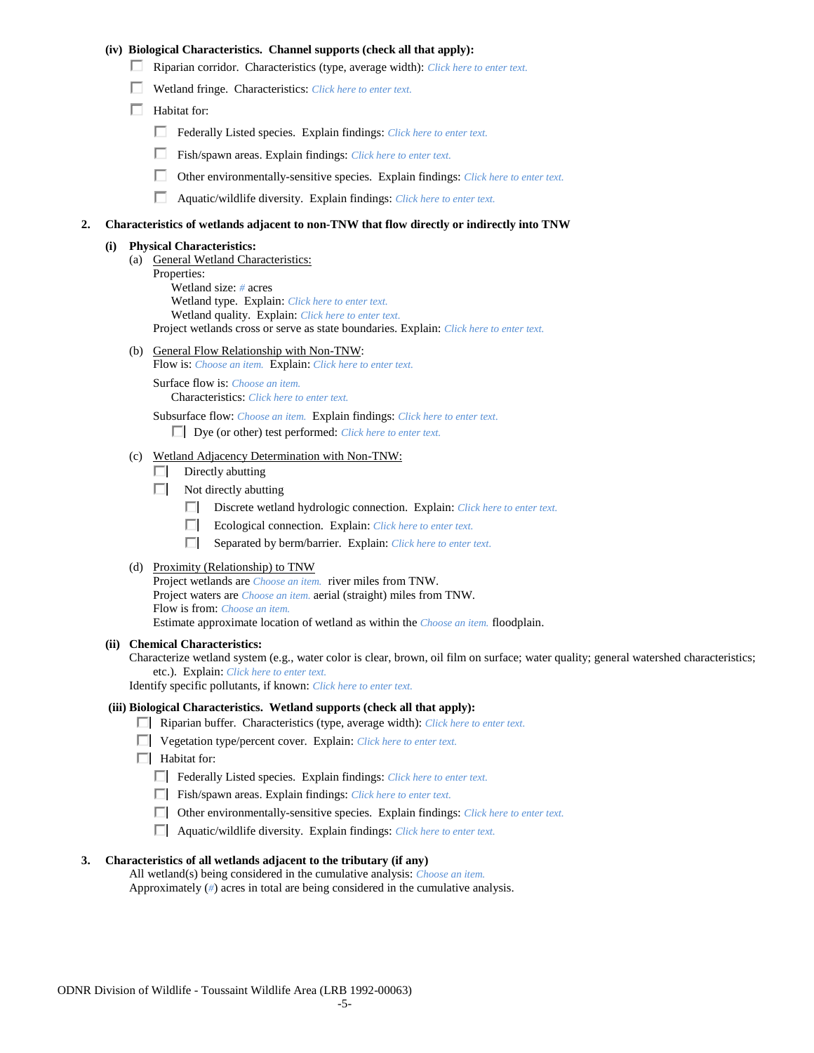## **(iv) Biological Characteristics. Channel supports (check all that apply):**

- Riparian corridor. Characteristics (type, average width): *Click here to enter text.*
- Wetland fringe. Characteristics: *Click here to enter text.*
- $\Box$  Habitat for:
	- Federally Listed species. Explain findings: *Click here to enter text.*
	- Fish/spawn areas. Explain findings: *Click here to enter text.*
	- П. Other environmentally-sensitive species. Explain findings: *Click here to enter text.*
	- П. Aquatic/wildlife diversity. Explain findings: *Click here to enter text.*

#### **2. Characteristics of wetlands adjacent to non-TNW that flow directly or indirectly into TNW**

#### **(i) Physical Characteristics:**

- (a) General Wetland Characteristics:
	- Properties:

Wetland size: *#* acres Wetland type. Explain: *Click here to enter text.*

Wetland quality. Explain: *Click here to enter text.*

Project wetlands cross or serve as state boundaries. Explain: *Click here to enter text.*

(b) General Flow Relationship with Non-TNW: Flow is: *Choose an item.* Explain: *Click here to enter text.*

Surface flow is: *Choose an item.* Characteristics: *Click here to enter text.*

Subsurface flow: *Choose an item.* Explain findings: *Click here to enter text.*

Dye (or other) test performed: *Click here to enter text.*

#### (c) Wetland Adjacency Determination with Non-TNW:

- $\Box$  Directly abutting
- Not directly abutting
	- Discrete wetland hydrologic connection. Explain: *Click here to enter text.*
	- $\Box$ Ecological connection. Explain: *Click here to enter text.*
	- $\Box$ Separated by berm/barrier. Explain: *Click here to enter text.*
- (d) Proximity (Relationship) to TNW

Project wetlands are *Choose an item.* river miles from TNW. Project waters are *Choose an item.* aerial (straight) miles from TNW. Flow is from: *Choose an item.* Estimate approximate location of wetland as within the *Choose an item.* floodplain.

#### **(ii) Chemical Characteristics:**

Characterize wetland system (e.g., water color is clear, brown, oil film on surface; water quality; general watershed characteristics; etc.). Explain: *Click here to enter text.*

Identify specific pollutants, if known: *Click here to enter text.*

#### **(iii) Biological Characteristics. Wetland supports (check all that apply):**

- Riparian buffer. Characteristics (type, average width): *Click here to enter text.*
- Vegetation type/percent cover. Explain: *Click here to enter text.*
- $\Box$  Habitat for:
	- Federally Listed species. Explain findings: *Click here to enter text*.
	- Fish/spawn areas. Explain findings: *Click here to enter text*.
	- Other environmentally-sensitive species. Explain findings: *Click here to enter text.*
	- Aquatic/wildlife diversity. Explain findings: *Click here to enter text.*

#### **3. Characteristics of all wetlands adjacent to the tributary (if any)**

All wetland(s) being considered in the cumulative analysis: *Choose an item.* Approximately (*#*) acres in total are being considered in the cumulative analysis.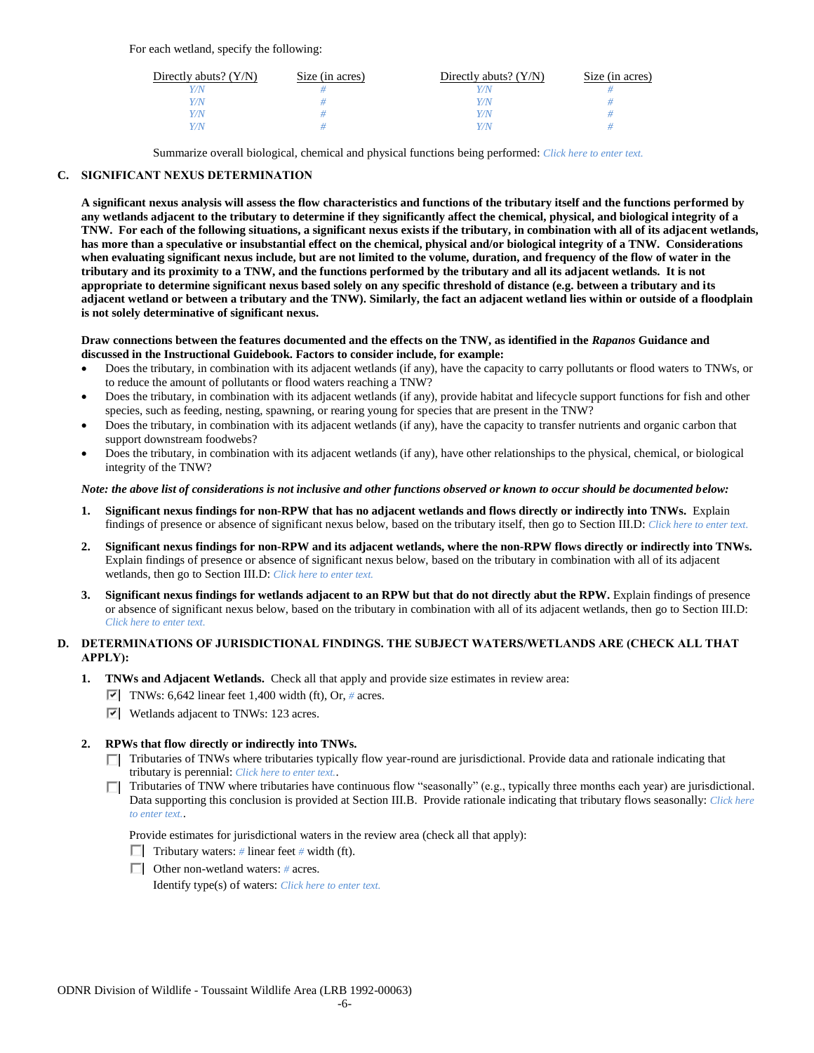For each wetland, specify the following:

| Directly abuts? $(Y/N)$ | Size (in acres) | Directly abuts? $(Y/N)$ | Size (in acres) |
|-------------------------|-----------------|-------------------------|-----------------|
|                         |                 |                         |                 |
| v/N                     |                 | //N                     |                 |
| Y/N                     |                 | 77 N                    |                 |
|                         |                 | $\gamma$ N              |                 |

Summarize overall biological, chemical and physical functions being performed: *Click here to enter text.*

## **C. SIGNIFICANT NEXUS DETERMINATION**

**A significant nexus analysis will assess the flow characteristics and functions of the tributary itself and the functions performed by any wetlands adjacent to the tributary to determine if they significantly affect the chemical, physical, and biological integrity of a TNW. For each of the following situations, a significant nexus exists if the tributary, in combination with all of its adjacent wetlands, has more than a speculative or insubstantial effect on the chemical, physical and/or biological integrity of a TNW. Considerations when evaluating significant nexus include, but are not limited to the volume, duration, and frequency of the flow of water in the tributary and its proximity to a TNW, and the functions performed by the tributary and all its adjacent wetlands. It is not appropriate to determine significant nexus based solely on any specific threshold of distance (e.g. between a tributary and its adjacent wetland or between a tributary and the TNW). Similarly, the fact an adjacent wetland lies within or outside of a floodplain is not solely determinative of significant nexus.** 

## **Draw connections between the features documented and the effects on the TNW, as identified in the** *Rapanos* **Guidance and discussed in the Instructional Guidebook. Factors to consider include, for example:**

- Does the tributary, in combination with its adjacent wetlands (if any), have the capacity to carry pollutants or flood waters to TNWs, or to reduce the amount of pollutants or flood waters reaching a TNW?
- Does the tributary, in combination with its adjacent wetlands (if any), provide habitat and lifecycle support functions for fish and other species, such as feeding, nesting, spawning, or rearing young for species that are present in the TNW?
- Does the tributary, in combination with its adjacent wetlands (if any), have the capacity to transfer nutrients and organic carbon that support downstream foodwebs?
- Does the tributary, in combination with its adjacent wetlands (if any), have other relationships to the physical, chemical, or biological integrity of the TNW?

## *Note: the above list of considerations is not inclusive and other functions observed or known to occur should be documented below:*

- **1. Significant nexus findings for non-RPW that has no adjacent wetlands and flows directly or indirectly into TNWs.** Explain findings of presence or absence of significant nexus below, based on the tributary itself, then go to Section III.D: *Click here to enter text.*
- **2. Significant nexus findings for non-RPW and its adjacent wetlands, where the non-RPW flows directly or indirectly into TNWs.**  Explain findings of presence or absence of significant nexus below, based on the tributary in combination with all of its adjacent wetlands, then go to Section III.D: *Click here to enter text.*
- **3. Significant nexus findings for wetlands adjacent to an RPW but that do not directly abut the RPW.** Explain findings of presence or absence of significant nexus below, based on the tributary in combination with all of its adjacent wetlands, then go to Section III.D: *Click here to enter text.*

# **D. DETERMINATIONS OF JURISDICTIONAL FINDINGS. THE SUBJECT WATERS/WETLANDS ARE (CHECK ALL THAT APPLY):**

- **1. TNWs and Adjacent Wetlands.** Check all that apply and provide size estimates in review area:
	- TNWs:  $6,642$  linear feet 1,400 width (ft), Or, # acres.
	- Wetlands adjacent to TNWs: 123 acres.

## **2. RPWs that flow directly or indirectly into TNWs.**

- Tributaries of TNWs where tributaries typically flow year-round are jurisdictional. Provide data and rationale indicating that tributary is perennial: *Click here to enter text.*.
- Tributaries of TNW where tributaries have continuous flow "seasonally" (e.g., typically three months each year) are jurisdictional. П. Data supporting this conclusion is provided at Section III.B. Provide rationale indicating that tributary flows seasonally: *Click here to enter text.*.

Provide estimates for jurisdictional waters in the review area (check all that apply):

- **Tributary waters:** # linear feet # width (ft).
- Other non-wetland waters: *#* acres.

Identify type(s) of waters: *Click here to enter text.*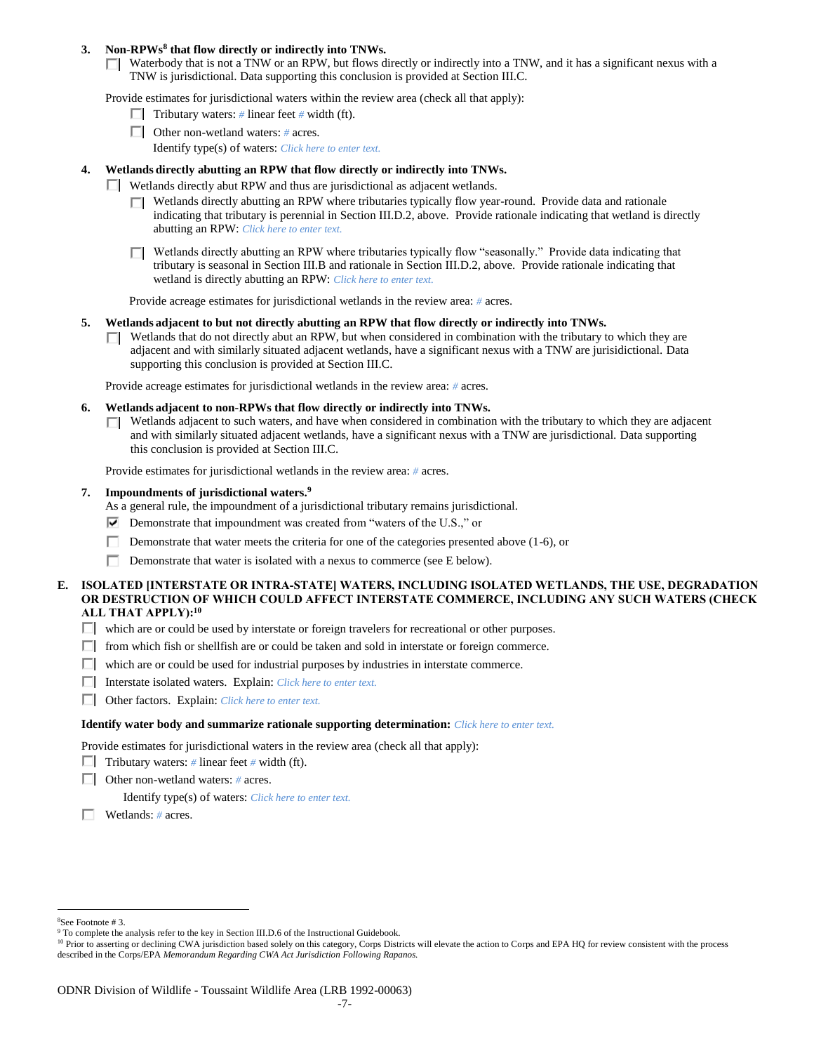## **3. Non-RPWs<sup>8</sup> that flow directly or indirectly into TNWs.**

 $\Box$  Waterbody that is not a TNW or an RPW, but flows directly or indirectly into a TNW, and it has a significant nexus with a TNW is jurisdictional. Data supporting this conclusion is provided at Section III.C.

Provide estimates for jurisdictional waters within the review area (check all that apply):

- **Tributary waters:** # linear feet # width (ft).
- Other non-wetland waters: *#* acres.
	- Identify type(s) of waters: *Click here to enter text.*

## **4. Wetlands directly abutting an RPW that flow directly or indirectly into TNWs.**

- Wetlands directly abut RPW and thus are jurisdictional as adjacent wetlands.
	- $\Box$  Wetlands directly abutting an RPW where tributaries typically flow year-round. Provide data and rationale indicating that tributary is perennial in Section III.D.2, above. Provide rationale indicating that wetland is directly abutting an RPW: *Click here to enter text.*
	- $\Box$  Wetlands directly abutting an RPW where tributaries typically flow "seasonally." Provide data indicating that tributary is seasonal in Section III.B and rationale in Section III.D.2, above. Provide rationale indicating that wetland is directly abutting an RPW: *Click here to enter text.*

Provide acreage estimates for jurisdictional wetlands in the review area: *#* acres.

- **5. Wetlands adjacent to but not directly abutting an RPW that flow directly or indirectly into TNWs.**
	- $\Box$  Wetlands that do not directly abut an RPW, but when considered in combination with the tributary to which they are adjacent and with similarly situated adjacent wetlands, have a significant nexus with a TNW are jurisidictional. Data supporting this conclusion is provided at Section III.C.

Provide acreage estimates for jurisdictional wetlands in the review area: *#* acres.

- **6. Wetlands adjacent to non-RPWs that flow directly or indirectly into TNWs.** 
	- $\Box$  Wetlands adjacent to such waters, and have when considered in combination with the tributary to which they are adjacent and with similarly situated adjacent wetlands, have a significant nexus with a TNW are jurisdictional. Data supporting this conclusion is provided at Section III.C.

Provide estimates for jurisdictional wetlands in the review area: *#* acres.

- **7. Impoundments of jurisdictional waters. 9**
	- As a general rule, the impoundment of a jurisdictional tributary remains jurisdictional.
	- $\nabla$  Demonstrate that impoundment was created from "waters of the U.S.," or
	- Demonstrate that water meets the criteria for one of the categories presented above (1-6), or
	- П. Demonstrate that water is isolated with a nexus to commerce (see E below).
- **E. ISOLATED [INTERSTATE OR INTRA-STATE] WATERS, INCLUDING ISOLATED WETLANDS, THE USE, DEGRADATION OR DESTRUCTION OF WHICH COULD AFFECT INTERSTATE COMMERCE, INCLUDING ANY SUCH WATERS (CHECK ALL THAT APPLY):<sup>10</sup>**
	- $\Box$  which are or could be used by interstate or foreign travelers for recreational or other purposes.
	- $\Box$  from which fish or shellfish are or could be taken and sold in interstate or foreign commerce.
	- $\Box$  which are or could be used for industrial purposes by industries in interstate commerce.
	- Interstate isolated waters.Explain: *Click here to enter text.*
	- Other factors.Explain: *Click here to enter text.*

#### **Identify water body and summarize rationale supporting determination:** *Click here to enter text.*

Provide estimates for jurisdictional waters in the review area (check all that apply):

- **Tributary waters:** # linear feet # width (ft).
- Other non-wetland waters: *#* acres.

Identify type(s) of waters: *Click here to enter text.*

Wetlands: *#* acres.

 $\overline{a}$ <sup>8</sup>See Footnote # 3.

<sup>&</sup>lt;sup>9</sup> To complete the analysis refer to the key in Section III.D.6 of the Instructional Guidebook.

<sup>&</sup>lt;sup>10</sup> Prior to asserting or declining CWA jurisdiction based solely on this category, Corps Districts will elevate the action to Corps and EPA HQ for review consistent with the process described in the Corps/EPA *Memorandum Regarding CWA Act Jurisdiction Following Rapanos.*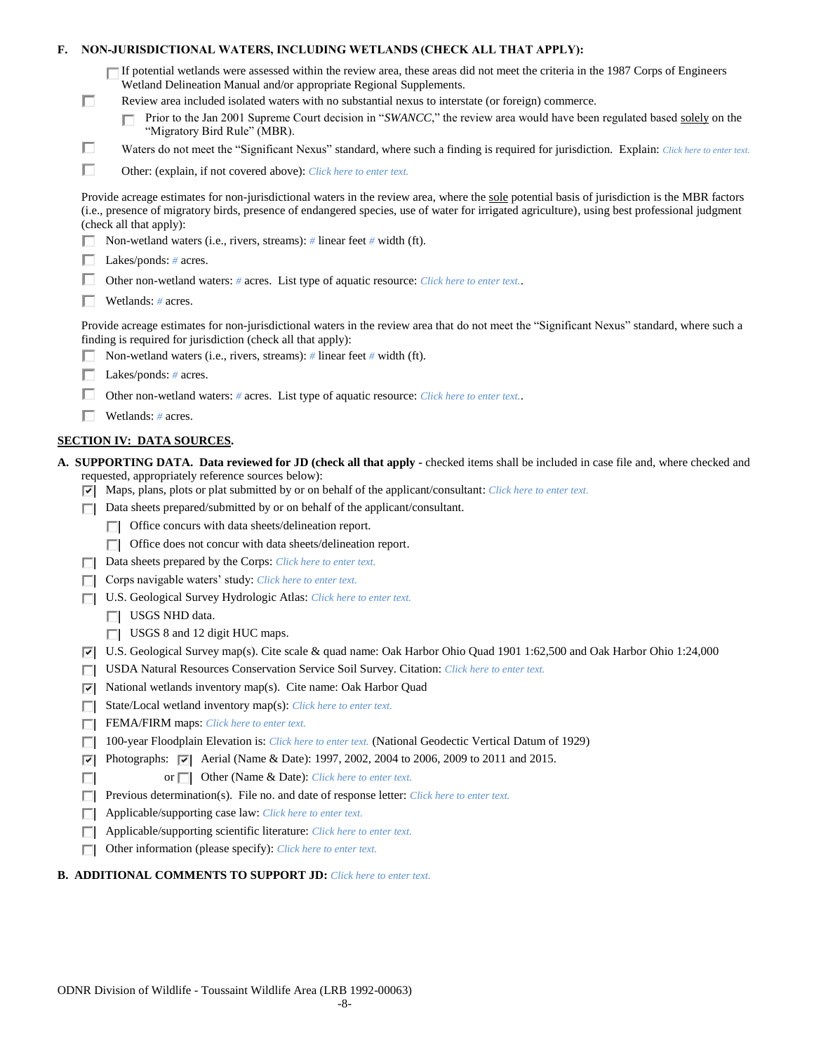| F. |   | NON-JURISDICTIONAL WATERS, INCLUDING WETLANDS (CHECK ALL THAT APPLY):                                                                                                                                                                                                                                                                                                                                                                                                            |
|----|---|----------------------------------------------------------------------------------------------------------------------------------------------------------------------------------------------------------------------------------------------------------------------------------------------------------------------------------------------------------------------------------------------------------------------------------------------------------------------------------|
|    | П | $\Box$ If potential wetlands were assessed within the review area, these areas did not meet the criteria in the 1987 Corps of Engineers<br>Wetland Delineation Manual and/or appropriate Regional Supplements.<br>Review area included isolated waters with no substantial nexus to interstate (or foreign) commerce.<br>Prior to the Jan 2001 Supreme Court decision in "SWANCC," the review area would have been regulated based solely on the<br>"Migratory Bird Rule" (MBR). |
|    | □ | Waters do not meet the "Significant Nexus" standard, where such a finding is required for jurisdiction. Explain: Click here to enter text.                                                                                                                                                                                                                                                                                                                                       |
|    | п | Other: (explain, if not covered above): Click here to enter text.                                                                                                                                                                                                                                                                                                                                                                                                                |
|    |   | Provide acreage estimates for non-jurisdictional waters in the review area, where the sole potential basis of jurisdiction is the MBR factors<br>(i.e., presence of migratory birds, presence of endangered species, use of water for irrigated agriculture), using best professional judgment<br>(check all that apply):                                                                                                                                                        |
|    |   | Non-wetland waters (i.e., rivers, streams): # linear feet # width (ft).                                                                                                                                                                                                                                                                                                                                                                                                          |
|    |   | Lakes/ponds: $# \, \text{acres.}$                                                                                                                                                                                                                                                                                                                                                                                                                                                |
|    |   | Other non-wetland waters: # acres. List type of aquatic resource: Click here to enter text                                                                                                                                                                                                                                                                                                                                                                                       |
|    |   | Wetlands: # acres.                                                                                                                                                                                                                                                                                                                                                                                                                                                               |
|    |   | Provide acreage estimates for non-jurisdictional waters in the review area that do not meet the "Significant Nexus" standard, where such a<br>finding is required for jurisdiction (check all that apply):<br>Non-wetland waters (i.e., rivers, streams): # linear feet # width (ft).                                                                                                                                                                                            |
|    |   | Lakes/ponds: $# \, \text{acres.}$                                                                                                                                                                                                                                                                                                                                                                                                                                                |
|    |   | Other non-wetland waters: # acres. List type of aquatic resource: Click here to enter text                                                                                                                                                                                                                                                                                                                                                                                       |
|    |   |                                                                                                                                                                                                                                                                                                                                                                                                                                                                                  |
|    |   | Wetlands: # acres.                                                                                                                                                                                                                                                                                                                                                                                                                                                               |
|    |   | <b>SECTION IV: DATA SOURCES.</b>                                                                                                                                                                                                                                                                                                                                                                                                                                                 |
|    |   | A. SUPPORTING DATA. Data reviewed for JD (check all that apply - checked items shall be included in case file and, where checked and<br>requested, appropriately reference sources below):<br>$\triangledown$ Maps, plans, plots or plat submitted by or on behalf of the applicant/consultant: Click here to enter text.                                                                                                                                                        |
|    |   | Data sheets prepared/submitted by or on behalf of the applicant/consultant.                                                                                                                                                                                                                                                                                                                                                                                                      |
|    |   | Office concurs with data sheets/delineation report.                                                                                                                                                                                                                                                                                                                                                                                                                              |
|    |   | Office does not concur with data sheets/delineation report.<br>ПL.                                                                                                                                                                                                                                                                                                                                                                                                               |
|    |   | Data sheets prepared by the Corps: Click here to enter text.                                                                                                                                                                                                                                                                                                                                                                                                                     |
|    |   | Corps navigable waters' study: Click here to enter text.                                                                                                                                                                                                                                                                                                                                                                                                                         |
|    |   |                                                                                                                                                                                                                                                                                                                                                                                                                                                                                  |
|    |   | U.S. Geological Survey Hydrologic Atlas: Click here to enter text.                                                                                                                                                                                                                                                                                                                                                                                                               |
|    |   | $\Box$ USGS NHD data.                                                                                                                                                                                                                                                                                                                                                                                                                                                            |
|    |   | $\Box$ USGS 8 and 12 digit HUC maps.                                                                                                                                                                                                                                                                                                                                                                                                                                             |
|    | 罓 | U.S. Geological Survey map(s). Cite scale & quad name: Oak Harbor Ohio Quad 1901 1:62,500 and Oak Harbor Ohio 1:24,000                                                                                                                                                                                                                                                                                                                                                           |
|    | ш | USDA Natural Resources Conservation Service Soil Survey. Citation: Click here to enter text.                                                                                                                                                                                                                                                                                                                                                                                     |
|    | ▽ | National wetlands inventory map(s). Cite name: Oak Harbor Quad                                                                                                                                                                                                                                                                                                                                                                                                                   |
|    | Е | State/Local wetland inventory map(s): Click here to enter text.                                                                                                                                                                                                                                                                                                                                                                                                                  |
|    | п | FEMA/FIRM maps: Click here to enter text.                                                                                                                                                                                                                                                                                                                                                                                                                                        |
|    | ш | 100-year Floodplain Elevation is: Click here to enter text. (National Geodectic Vertical Datum of 1929)                                                                                                                                                                                                                                                                                                                                                                          |
|    | ⊽ | Photographs: $\sqrt{ }$ Aerial (Name & Date): 1997, 2002, 2004 to 2006, 2009 to 2011 and 2015.                                                                                                                                                                                                                                                                                                                                                                                   |
|    | U | Other (Name & Date): Click here to enter text.<br>or $\Box$                                                                                                                                                                                                                                                                                                                                                                                                                      |
|    | п | Previous determination(s). File no. and date of response letter: Click here to enter text.                                                                                                                                                                                                                                                                                                                                                                                       |
|    | ш | Applicable/supporting case law: Click here to enter text.                                                                                                                                                                                                                                                                                                                                                                                                                        |
|    | Е | Applicable/supporting scientific literature: Click here to enter text.<br>Other information (please specify): Click here to enter text.                                                                                                                                                                                                                                                                                                                                          |

# **B. ADDITIONAL COMMENTS TO SUPPORT JD:** *Click here to enter text.*